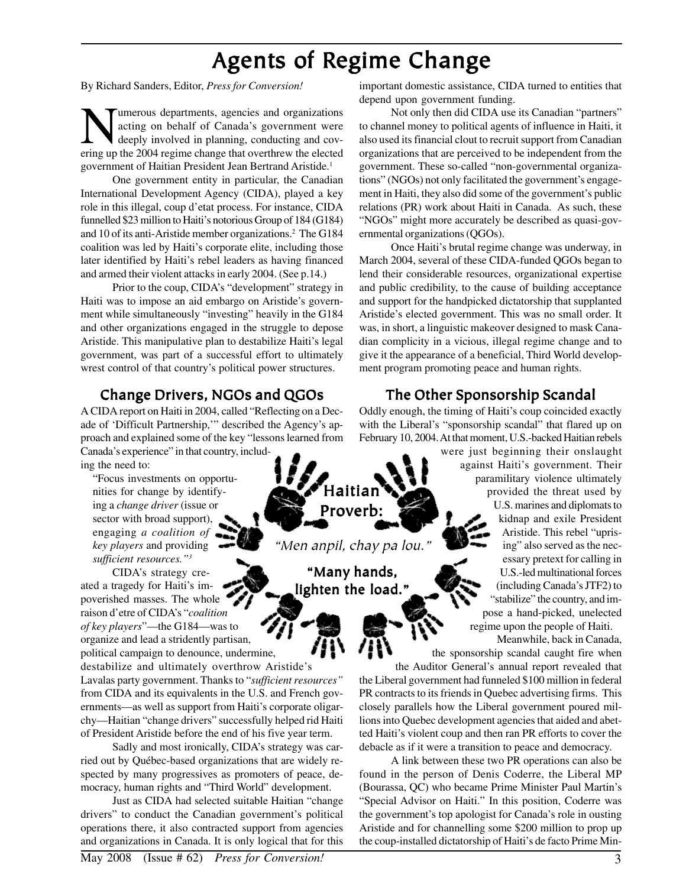# Agents of Regime Change

Haitian Proverb:

"Men anpil, chay pa lou."

"Many hands, lighten the load."

By Richard Sanders, Editor, *Press for Conversion!*

**Example 2004** The university of Canada's government were deeply involved in planning, conducting and covering up the 2004 regime change that overthrew the elected umerous departments, agencies and organizations acting on behalf of Canada's government were deeply involved in planning, conducting and covgovernment of Haitian President Jean Bertrand Aristide.<sup>1</sup>

One government entity in particular, the Canadian International Development Agency (CIDA), played a key role in this illegal, coup d'etat process. For instance, CIDA funnelled \$23 million to Haiti's notorious Group of 184 (G184) and 10 of its anti-Aristide member organizations.<sup>2</sup> The G184 coalition was led by Haiti's corporate elite, including those later identified by Haiti's rebel leaders as having financed and armed their violent attacks in early 2004. (See p.14.)

Prior to the coup, CIDA's "development" strategy in Haiti was to impose an aid embargo on Aristide's government while simultaneously "investing" heavily in the G184 and other organizations engaged in the struggle to depose Aristide. This manipulative plan to destabilize Haiti's legal government, was part of a successful effort to ultimately wrest control of that country's political power structures.

### Change Drivers, NGOs and QGOs

A CIDA report on Haiti in 2004, called "Reflecting on a Decade of 'Difficult Partnership,'" described the Agency's approach and explained some of the key "lessons learned from Canada's experience" in that country, includ-

ing the need to: "Focus investments on opportunities for change by identifying a *change driver* (issue or sector with broad support), engaging *a coalition of key players* and providing *sufficient resources."<sup>3</sup>*

CIDA's strategy created a tragedy for Haiti's impoverished masses. The whole raison d'etre of CIDA's "*coalition of key players*"—the G184—was to organize and lead a stridently partisan, political campaign to denounce, undermine,

destabilize and ultimately overthrow Aristide's Lavalas party government. Thanks to "*sufficient resources"* from CIDA and its equivalents in the U.S. and French governments—as well as support from Haiti's corporate oligarchy—Haitian "change drivers" successfully helped rid Haiti of President Aristide before the end of his five year term.

Sadly and most ironically, CIDA's strategy was carried out by Québec-based organizations that are widely respected by many progressives as promoters of peace, democracy, human rights and "Third World" development.

Just as CIDA had selected suitable Haitian "change drivers" to conduct the Canadian government's political operations there, it also contracted support from agencies and organizations in Canada. It is only logical that for this important domestic assistance, CIDA turned to entities that depend upon government funding.

Not only then did CIDA use its Canadian "partners" to channel money to political agents of influence in Haiti, it also used its financial clout to recruit support from Canadian organizations that are perceived to be independent from the government. These so-called "non-governmental organizations" (NGOs) not only facilitated the government's engagement in Haiti, they also did some of the government's public relations (PR) work about Haiti in Canada. As such, these "NGOs" might more accurately be described as quasi-governmental organizations (QGOs).

Once Haiti's brutal regime change was underway, in March 2004, several of these CIDA-funded QGOs began to lend their considerable resources, organizational expertise and public credibility, to the cause of building acceptance and support for the handpicked dictatorship that supplanted Aristide's elected government. This was no small order. It was, in short, a linguistic makeover designed to mask Canadian complicity in a vicious, illegal regime change and to give it the appearance of a beneficial, Third World development program promoting peace and human rights.

# The Other Sponsorship Scandal

Oddly enough, the timing of Haiti's coup coincided exactly with the Liberal's "sponsorship scandal" that flared up on February 10, 2004. At that moment, U.S.-backed Haitian rebels

were just beginning their onslaught against Haiti's government. Their paramilitary violence ultimately provided the threat used by U.S. marines and diplomats to kidnap and exile President Aristide. This rebel "uprising" also served as the necessary pretext for calling in U.S.-led multinational forces (including Canada's JTF2) to "stabilize" the country, and impose a hand-picked, unelected regime upon the people of Haiti.

 Meanwhile, back in Canada, the sponsorship scandal caught fire when

the Auditor General's annual report revealed that the Liberal government had funneled \$100 million in federal PR contracts to its friends in Quebec advertising firms. This closely parallels how the Liberal government poured millions into Quebec development agencies that aided and abetted Haiti's violent coup and then ran PR efforts to cover the debacle as if it were a transition to peace and democracy.

A link between these two PR operations can also be found in the person of Denis Coderre, the Liberal MP (Bourassa, QC) who became Prime Minister Paul Martin's "Special Advisor on Haiti." In this position, Coderre was the government's top apologist for Canada's role in ousting Aristide and for channelling some \$200 million to prop up the coup-installed dictatorship of Haiti's de facto Prime Min-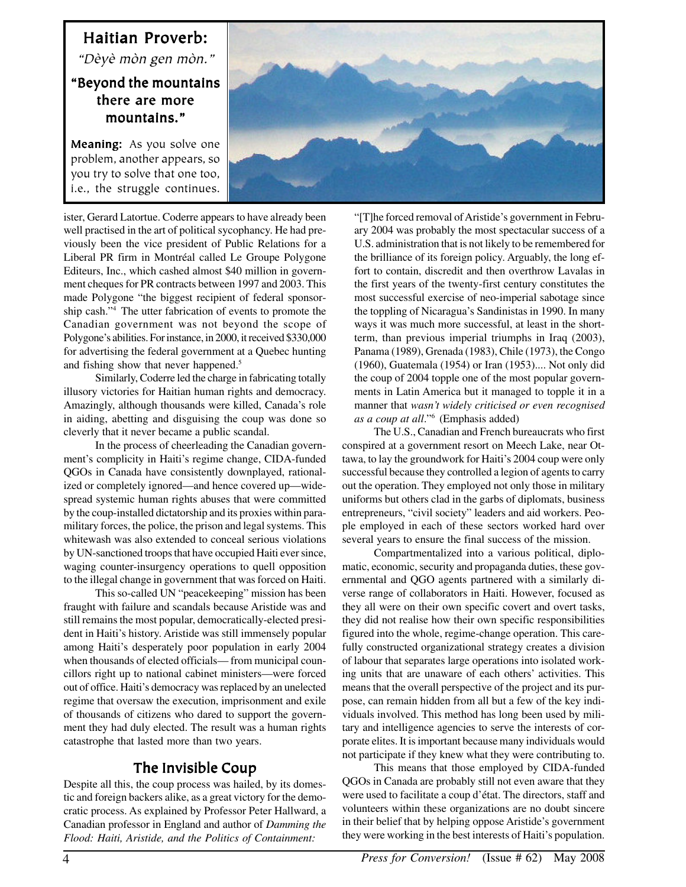# Haitian Proverb:

"Dèyè mòn gen mòn."

### "Beyond the mountains there are more mountains."

Meaning: As you solve one problem, another appears, so you try to solve that one too, i.e., the struggle continues.



ister, Gerard Latortue. Coderre appears to have already been well practised in the art of political sycophancy. He had previously been the vice president of Public Relations for a Liberal PR firm in Montréal called Le Groupe Polygone Editeurs, Inc., which cashed almost \$40 million in government cheques for PR contracts between 1997 and 2003. This made Polygone "the biggest recipient of federal sponsorship cash."<sup>4</sup> The utter fabrication of events to promote the Canadian government was not beyond the scope of Polygone's abilities. For instance, in 2000, it received \$330,000 for advertising the federal government at a Quebec hunting and fishing show that never happened.<sup>5</sup>

Similarly, Coderre led the charge in fabricating totally illusory victories for Haitian human rights and democracy. Amazingly, although thousands were killed, Canada's role in aiding, abetting and disguising the coup was done so cleverly that it never became a public scandal.

In the process of cheerleading the Canadian government's complicity in Haiti's regime change, CIDA-funded QGOs in Canada have consistently downplayed, rationalized or completely ignored—and hence covered up—widespread systemic human rights abuses that were committed by the coup-installed dictatorship and its proxies within paramilitary forces, the police, the prison and legal systems. This whitewash was also extended to conceal serious violations by UN-sanctioned troops that have occupied Haiti ever since, waging counter-insurgency operations to quell opposition to the illegal change in government that was forced on Haiti.

This so-called UN "peacekeeping" mission has been fraught with failure and scandals because Aristide was and still remains the most popular, democratically-elected president in Haiti's history. Aristide was still immensely popular among Haiti's desperately poor population in early 2004 when thousands of elected officials— from municipal councillors right up to national cabinet ministers—were forced out of office. Haiti's democracy was replaced by an unelected regime that oversaw the execution, imprisonment and exile of thousands of citizens who dared to support the government they had duly elected. The result was a human rights catastrophe that lasted more than two years.

#### The Invisible Coup

Despite all this, the coup process was hailed, by its domestic and foreign backers alike, as a great victory for the democratic process. As explained by Professor Peter Hallward, a Canadian professor in England and author of *Damming the Flood: Haiti, Aristide, and the Politics of Containment:*

"[T]he forced removal of Aristide's government in February 2004 was probably the most spectacular success of a U.S. administration that is not likely to be remembered for the brilliance of its foreign policy. Arguably, the long effort to contain, discredit and then overthrow Lavalas in the first years of the twenty-first century constitutes the most successful exercise of neo-imperial sabotage since the toppling of Nicaragua's Sandinistas in 1990. In many ways it was much more successful, at least in the shortterm, than previous imperial triumphs in Iraq (2003), Panama (1989), Grenada (1983), Chile (1973), the Congo (1960), Guatemala (1954) or Iran (1953).... Not only did the coup of 2004 topple one of the most popular governments in Latin America but it managed to topple it in a manner that *wasn't widely criticised or even recognised as a coup at all*."<sup>6</sup> (Emphasis added)

The U.S., Canadian and French bureaucrats who first conspired at a government resort on Meech Lake, near Ottawa, to lay the groundwork for Haiti's 2004 coup were only successful because they controlled a legion of agents to carry out the operation. They employed not only those in military uniforms but others clad in the garbs of diplomats, business entrepreneurs, "civil society" leaders and aid workers. People employed in each of these sectors worked hard over several years to ensure the final success of the mission.

Compartmentalized into a various political, diplomatic, economic, security and propaganda duties, these governmental and QGO agents partnered with a similarly diverse range of collaborators in Haiti. However, focused as they all were on their own specific covert and overt tasks, they did not realise how their own specific responsibilities figured into the whole, regime-change operation. This carefully constructed organizational strategy creates a division of labour that separates large operations into isolated working units that are unaware of each others' activities. This means that the overall perspective of the project and its purpose, can remain hidden from all but a few of the key individuals involved. This method has long been used by military and intelligence agencies to serve the interests of corporate elites. It is important because many individuals would not participate if they knew what they were contributing to.

This means that those employed by CIDA-funded QGOs in Canada are probably still not even aware that they were used to facilitate a coup d'état. The directors, staff and volunteers within these organizations are no doubt sincere in their belief that by helping oppose Aristide's government they were working in the best interests of Haiti's population.